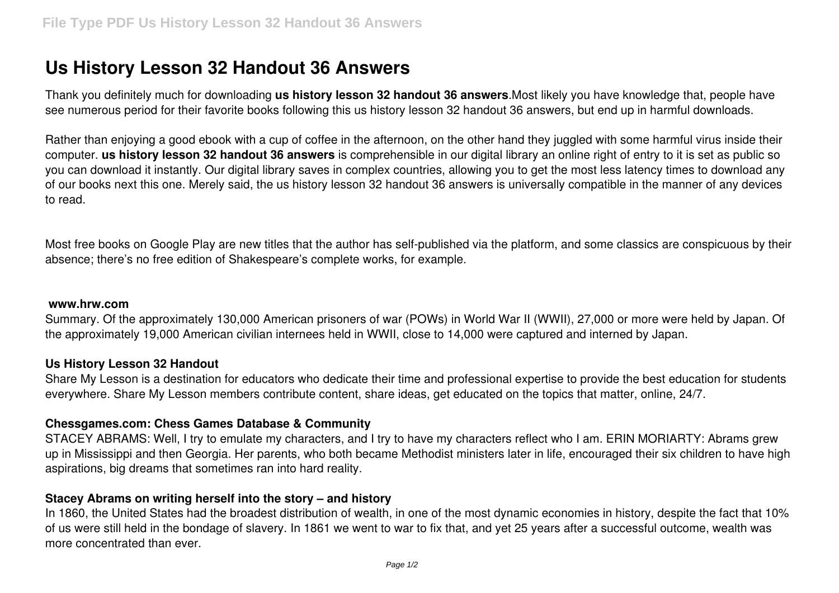# **Us History Lesson 32 Handout 36 Answers**

Thank you definitely much for downloading **us history lesson 32 handout 36 answers**.Most likely you have knowledge that, people have see numerous period for their favorite books following this us history lesson 32 handout 36 answers, but end up in harmful downloads.

Rather than enjoying a good ebook with a cup of coffee in the afternoon, on the other hand they juggled with some harmful virus inside their computer. **us history lesson 32 handout 36 answers** is comprehensible in our digital library an online right of entry to it is set as public so you can download it instantly. Our digital library saves in complex countries, allowing you to get the most less latency times to download any of our books next this one. Merely said, the us history lesson 32 handout 36 answers is universally compatible in the manner of any devices to read.

Most free books on Google Play are new titles that the author has self-published via the platform, and some classics are conspicuous by their absence; there's no free edition of Shakespeare's complete works, for example.

#### **www.hrw.com**

Summary. Of the approximately 130,000 American prisoners of war (POWs) in World War II (WWII), 27,000 or more were held by Japan. Of the approximately 19,000 American civilian internees held in WWII, close to 14,000 were captured and interned by Japan.

#### **Us History Lesson 32 Handout**

Share My Lesson is a destination for educators who dedicate their time and professional expertise to provide the best education for students everywhere. Share My Lesson members contribute content, share ideas, get educated on the topics that matter, online, 24/7.

#### **Chessgames.com: Chess Games Database & Community**

STACEY ABRAMS: Well, I try to emulate my characters, and I try to have my characters reflect who I am. ERIN MORIARTY: Abrams grew up in Mississippi and then Georgia. Her parents, who both became Methodist ministers later in life, encouraged their six children to have high aspirations, big dreams that sometimes ran into hard reality.

#### **Stacey Abrams on writing herself into the story – and history**

In 1860, the United States had the broadest distribution of wealth, in one of the most dynamic economies in history, despite the fact that 10% of us were still held in the bondage of slavery. In 1861 we went to war to fix that, and yet 25 years after a successful outcome, wealth was more concentrated than ever.